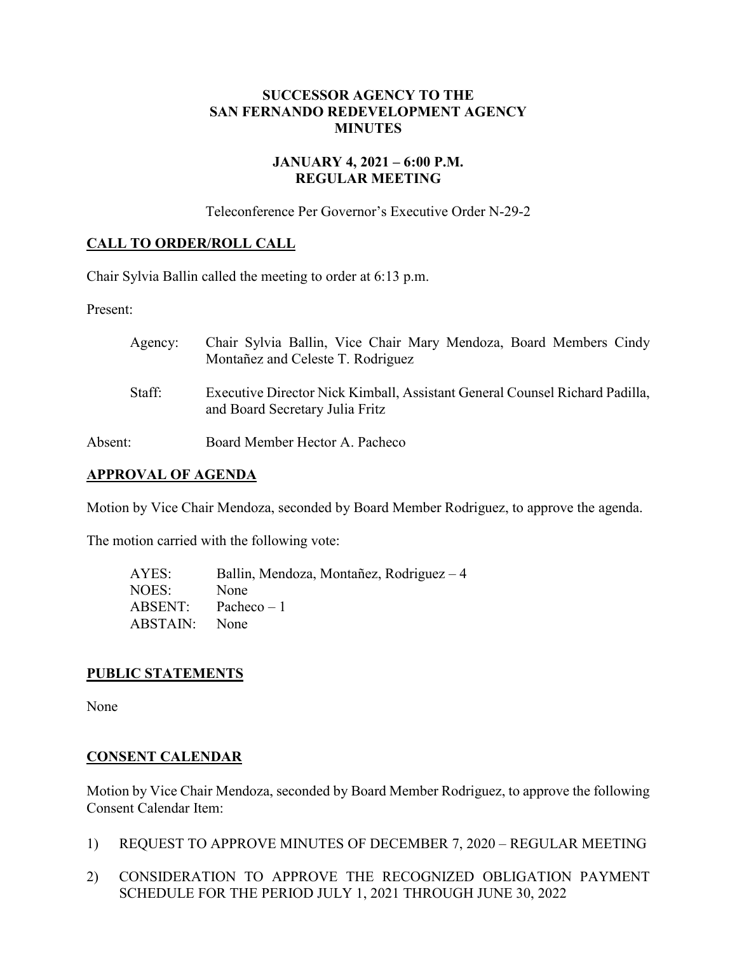## **SUCCESSOR AGENCY TO THE SAN FERNANDO REDEVELOPMENT AGENCY MINUTES**

## **JANUARY 4, 2021 – 6:00 P.M. REGULAR MEETING**

Teleconference Per Governor's Executive Order N-29-2

# **CALL TO ORDER/ROLL CALL**

Chair Sylvia Ballin called the meeting to order at 6:13 p.m.

Present:

| Agency: | Chair Sylvia Ballin, Vice Chair Mary Mendoza, Board Members Cindy<br>Montañez and Celeste T. Rodriguez         |
|---------|----------------------------------------------------------------------------------------------------------------|
| Staff:  | Executive Director Nick Kimball, Assistant General Counsel Richard Padilla,<br>and Board Secretary Julia Fritz |
| Absent: | Board Member Hector A. Pacheco                                                                                 |

### **APPROVAL OF AGENDA**

Motion by Vice Chair Mendoza, seconded by Board Member Rodriguez, to approve the agenda.

The motion carried with the following vote:

| AYES:    | Ballin, Mendoza, Montañez, Rodriguez – 4 |
|----------|------------------------------------------|
| NOES:    | None                                     |
| ABSENT:  | Pacheco $-1$                             |
| ABSTAIN: | None                                     |

#### **PUBLIC STATEMENTS**

None

#### **CONSENT CALENDAR**

Motion by Vice Chair Mendoza, seconded by Board Member Rodriguez, to approve the following Consent Calendar Item:

- 1) REQUEST TO APPROVE MINUTES OF DECEMBER 7, 2020 REGULAR MEETING
- 2) CONSIDERATION TO APPROVE THE RECOGNIZED OBLIGATION PAYMENT SCHEDULE FOR THE PERIOD JULY 1, 2021 THROUGH JUNE 30, 2022